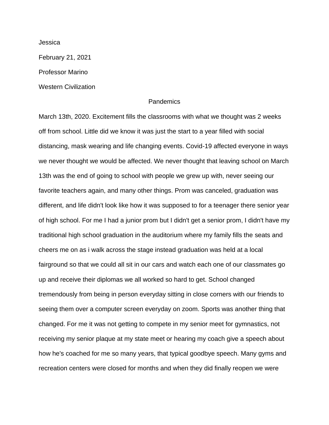Jessica

February 21, 2021

Professor Marino

Western Civilization

## **Pandemics**

March 13th, 2020. Excitement fills the classrooms with what we thought was 2 weeks off from school. Little did we know it was just the start to a year filled with social distancing, mask wearing and life changing events. Covid-19 affected everyone in ways we never thought we would be affected. We never thought that leaving school on March 13th was the end of going to school with people we grew up with, never seeing our favorite teachers again, and many other things. Prom was canceled, graduation was different, and life didn't look like how it was supposed to for a teenager there senior year of high school. For me I had a junior prom but I didn't get a senior prom, I didn't have my traditional high school graduation in the auditorium where my family fills the seats and cheers me on as i walk across the stage instead graduation was held at a local fairground so that we could all sit in our cars and watch each one of our classmates go up and receive their diplomas we all worked so hard to get. School changed tremendously from being in person everyday sitting in close corners with our friends to seeing them over a computer screen everyday on zoom. Sports was another thing that changed. For me it was not getting to compete in my senior meet for gymnastics, not receiving my senior plaque at my state meet or hearing my coach give a speech about how he's coached for me so many years, that typical goodbye speech. Many gyms and recreation centers were closed for months and when they did finally reopen we were